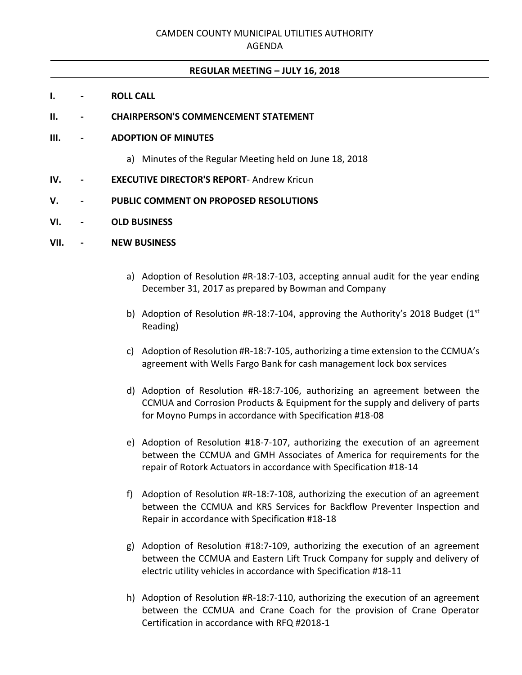## **REGULAR MEETING – JULY 16, 2018**

**I. - ROLL CALL**

## **II. - CHAIRPERSON'S COMMENCEMENT STATEMENT**

### **III. - ADOPTION OF MINUTES**

- a) Minutes of the Regular Meeting held on June 18, 2018
- **IV. - EXECUTIVE DIRECTOR'S REPORT** Andrew Kricun
- **V. - PUBLIC COMMENT ON PROPOSED RESOLUTIONS**
- **VI. - OLD BUSINESS**

#### **VII. - NEW BUSINESS**

- a) Adoption of Resolution #R-18:7-103, accepting annual audit for the year ending December 31, 2017 as prepared by Bowman and Company
- b) Adoption of Resolution #R-18:7-104, approving the Authority's 2018 Budget  $(1^{st}$ Reading)
- c) Adoption of Resolution #R-18:7-105, authorizing a time extension to the CCMUA's agreement with Wells Fargo Bank for cash management lock box services
- d) Adoption of Resolution #R-18:7-106, authorizing an agreement between the CCMUA and Corrosion Products & Equipment for the supply and delivery of parts for Moyno Pumps in accordance with Specification #18-08
- e) Adoption of Resolution #18-7-107, authorizing the execution of an agreement between the CCMUA and GMH Associates of America for requirements for the repair of Rotork Actuators in accordance with Specification #18-14
- f) Adoption of Resolution #R-18:7-108, authorizing the execution of an agreement between the CCMUA and KRS Services for Backflow Preventer Inspection and Repair in accordance with Specification #18-18
- g) Adoption of Resolution #18:7-109, authorizing the execution of an agreement between the CCMUA and Eastern Lift Truck Company for supply and delivery of electric utility vehicles in accordance with Specification #18-11
- h) Adoption of Resolution #R-18:7-110, authorizing the execution of an agreement between the CCMUA and Crane Coach for the provision of Crane Operator Certification in accordance with RFQ #2018-1